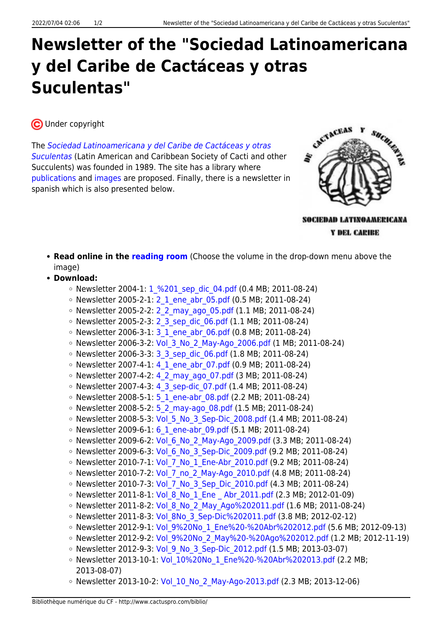## **Newsletter of the "Sociedad Latinoamericana y del Caribe de Cactáceas y otras Suculentas"**

CUnder copyright

The [Sociedad Latinoamericana y del Caribe de Cactáceas y otras](http://www.ibiologia.unam.mx/slccs/www/index.htm) [Suculentas](http://www.ibiologia.unam.mx/slccs/www/index.htm) (Latin American and Caribbean Society of Cacti and other Succulents) was founded in 1989. The site has a library where [publications](http://www.ibiologia.unam.mx/slccs/www/material_bibl.html) and [images](http://www.ibiologia.unam.mx/slccs/www/fototeca.htm) are proposed. Finally, there is a newsletter in spanish which is also presented below.



SOCIEDAD LATINOAMERICANA Y DEL CARIEE

- **Read online in the [reading room](https://www.cactuspro.com/lecture/SLCCS/SLCCS-2011-1/page-1.en.html)** (Choose the volume in the drop-down menu above the image)
- **Download:**
	- $\circ$  Newsletter 2004-1: 1 %201 sep\_dic\_04.pdf (0.4 MB; 2011-08-24)
	- Newsletter 2005-2-1: 2 1 ene abr 05.pdf (0.5 MB; 2011-08-24)
	- o Newsletter 2005-2-2: 2 2 may ago 05.pdf (1.1 MB; 2011-08-24)
	- Newsletter 2005-2-3: [2\\_3\\_sep\\_dic\\_06.pdf](http://www.ibiologia.unam.mx/slccs/www/pdf/Boletin/2_3_sep_dic_06.pdf) (1.1 MB; 2011-08-24)
	- Newsletter 2006-3-1: 3 1 ene abr 06.pdf (0.8 MB; 2011-08-24)
	- Newsletter 2006-3-2: Vol 3 No 2 May-Ago 2006.pdf (1 MB; 2011-08-24)
	- Newsletter 2006-3-3: [3\\_3\\_sep\\_dic\\_06.pdf](http://www.ibiologia.unam.mx/slccs/www/pdf/Boletin/3_3_sep_dic_06.pdf) (1.8 MB; 2011-08-24)
	- Newsletter 2007-4-1: 4 1 ene abr 07.pdf (0.9 MB; 2011-08-24)
	- Newsletter 2007-4-2: 4 2 may ago 07.pdf (3 MB; 2011-08-24)
	- o Newsletter 2007-4-3: 4 3 sep-dic 07.pdf (1.4 MB; 2011-08-24)
	- Newsletter 2008-5-1: [5\\_1\\_ene-abr\\_08.pdf](http://www.ibiologia.unam.mx/slccs/www/pdf/Boletin/5_1_ene-abr_08.pdf) (2.2 MB; 2011-08-24)
	- o Newsletter 2008-5-2: 5 2 may-ago\_08.pdf (1.5 MB; 2011-08-24)
	- Newsletter 2008-5-3: Vol 5 No 3 Sep-Dic 2008.pdf (1.4 MB; 2011-08-24)
	- Newsletter 2009-6-1: 6 1 ene-abr 09.pdf (5.1 MB; 2011-08-24)
	- Newsletter 2009-6-2: Vol 6 No 2 May-Ago 2009.pdf (3.3 MB; 2011-08-24)
	- $\circ$  Newsletter 2009-6-3: Vol 6 No 3 Sep-Dic 2009.pdf (9.2 MB; 2011-08-24)
	- o Newsletter 2010-7-1: Vol 7 No 1 Ene-Abr 2010.pdf (9.2 MB; 2011-08-24)
	- o Newsletter 2010-7-2: Vol 7 no 2 May-Ago 2010.pdf (4.8 MB; 2011-08-24)
	- o Newsletter 2010-7-3: Vol 7 No 3 Sep Dic 2010.pdf (4.3 MB; 2011-08-24)
	- Newsletter 2011-8-1: Vol 8 No 1 Ene Abr 2011.pdf (2.3 MB; 2012-01-09)
	- Newsletter 2011-8-2: Vol 8 No 2 May Ago%202011.pdf (1.6 MB; 2011-08-24)
	- Newsletter 2011-8-3: Vol 8No 3 Sep-Dic%202011.pdf (3.8 MB; 2012-02-12)
	- Newsletter 2012-9-1: Vol 9%20No 1 Ene%20-%20Abr%202012.pdf (5.6 MB; 2012-09-13)
	- Newsletter 2012-9-2: Vol 9%20No 2 May%20-%20Ago%202012.pdf (1.2 MB; 2012-11-19)
	- Newsletter 2012-9-3: Vol 9 No 3 Sep-Dic 2012.pdf (1.5 MB; 2013-03-07)
	- Newsletter 2013-10-1: Vol 10%20No 1 Ene%20-%20Abr%202013.pdf (2.2 MB; 2013-08-07)
	- Newsletter 2013-10-2: Vol 10 No 2 May-Ago-2013.pdf (2.3 MB; 2013-12-06)